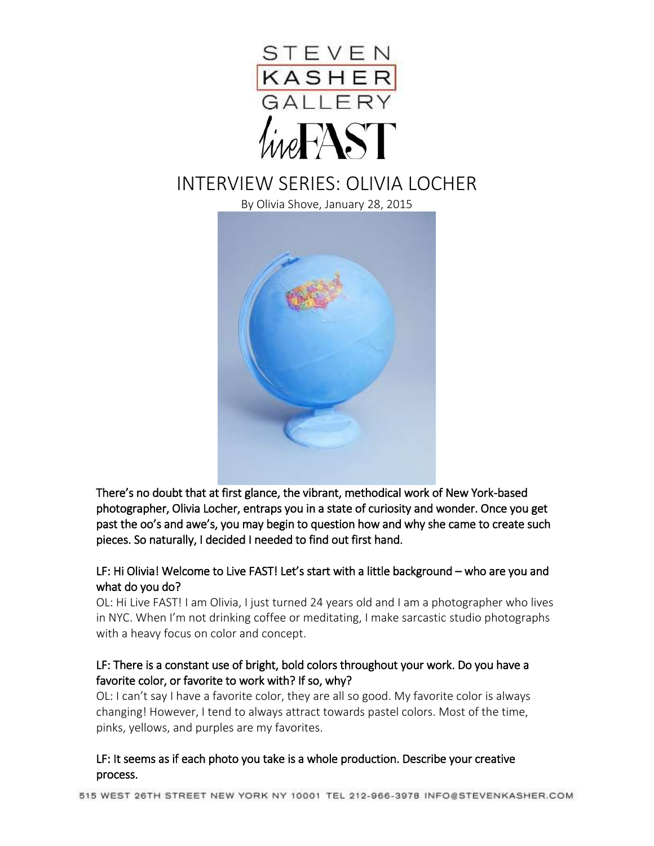

# INTERVIEW SERIES: OLIVIA LOCHER

By Olivia Shove, January 28, 2015



There's no doubt that at first glance, the vibrant, methodical work of New York-based photographer, Olivia Locher, entraps you in a state of curiosity and wonder. Once you get past the oo's and awe's, you may begin to question how and why she came to create such pieces. So naturally, I decided I needed to find out first hand.

#### LF: Hi Olivia! Welcome to Live FAST! Let's start with a little background – who are you and what do you do?

OL: Hi Live FAST! I am Olivia, I just turned 24 years old and I am a photographer who lives in NYC. When I'm not drinking coffee or meditating, I make sarcastic studio photographs with a heavy focus on color and concept.

# LF: There is a constant use of bright, bold colors throughout your work. Do you have a favorite color, or favorite to work with? If so, why?

OL: I can't say I have a favorite color, they are all so good. My favorite color is always changing! However, I tend to always attract towards pastel colors. Most of the time, pinks, yellows, and purples are my favorites.

#### LF: It seems as if each photo you take is a whole production. Describe your creative process.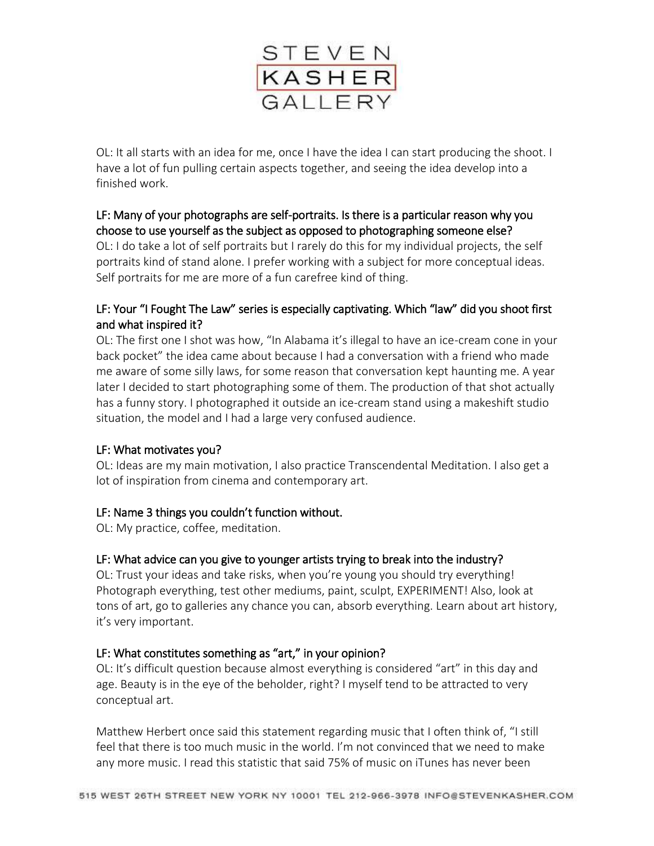

OL: It all starts with an idea for me, once I have the idea I can start producing the shoot. I have a lot of fun pulling certain aspects together, and seeing the idea develop into a finished work.

# LF: Many of your photographs are self-portraits. Is there is a particular reason why you choose to use yourself as the subject as opposed to photographing someone else?

OL: I do take a lot of self portraits but I rarely do this for my individual projects, the self portraits kind of stand alone. I prefer working with a subject for more conceptual ideas. Self portraits for me are more of a fun carefree kind of thing.

# LF: Your "I Fought The Law" series is especially captivating. Which "law" did you shoot first and what inspired it?

OL: The first one I shot was how, "In Alabama it's illegal to have an ice-cream cone in your back pocket" the idea came about because I had a conversation with a friend who made me aware of some silly laws, for some reason that conversation kept haunting me. A year later I decided to start photographing some of them. The production of that shot actually has a funny story. I photographed it outside an ice-cream stand using a makeshift studio situation, the model and I had a large very confused audience.

# LF: What motivates you?

OL: Ideas are my main motivation, I also practice Transcendental Meditation. I also get a lot of inspiration from cinema and contemporary art.

# LF: Name 3 things you couldn't function without.

OL: My practice, coffee, meditation.

# LF: What advice can you give to younger artists trying to break into the industry?

OL: Trust your ideas and take risks, when you're young you should try everything! Photograph everything, test other mediums, paint, sculpt, EXPERIMENT! Also, look at tons of art, go to galleries any chance you can, absorb everything. Learn about art history, it's very important.

# LF: What constitutes something as "art," in your opinion?

OL: It's difficult question because almost everything is considered "art" in this day and age. Beauty is in the eye of the beholder, right? I myself tend to be attracted to very conceptual art.

Matthew Herbert once said this statement regarding music that I often think of, "I still feel that there is too much music in the world. I'm not convinced that we need to make any more music. I read this statistic that said 75% of music on iTunes has never been